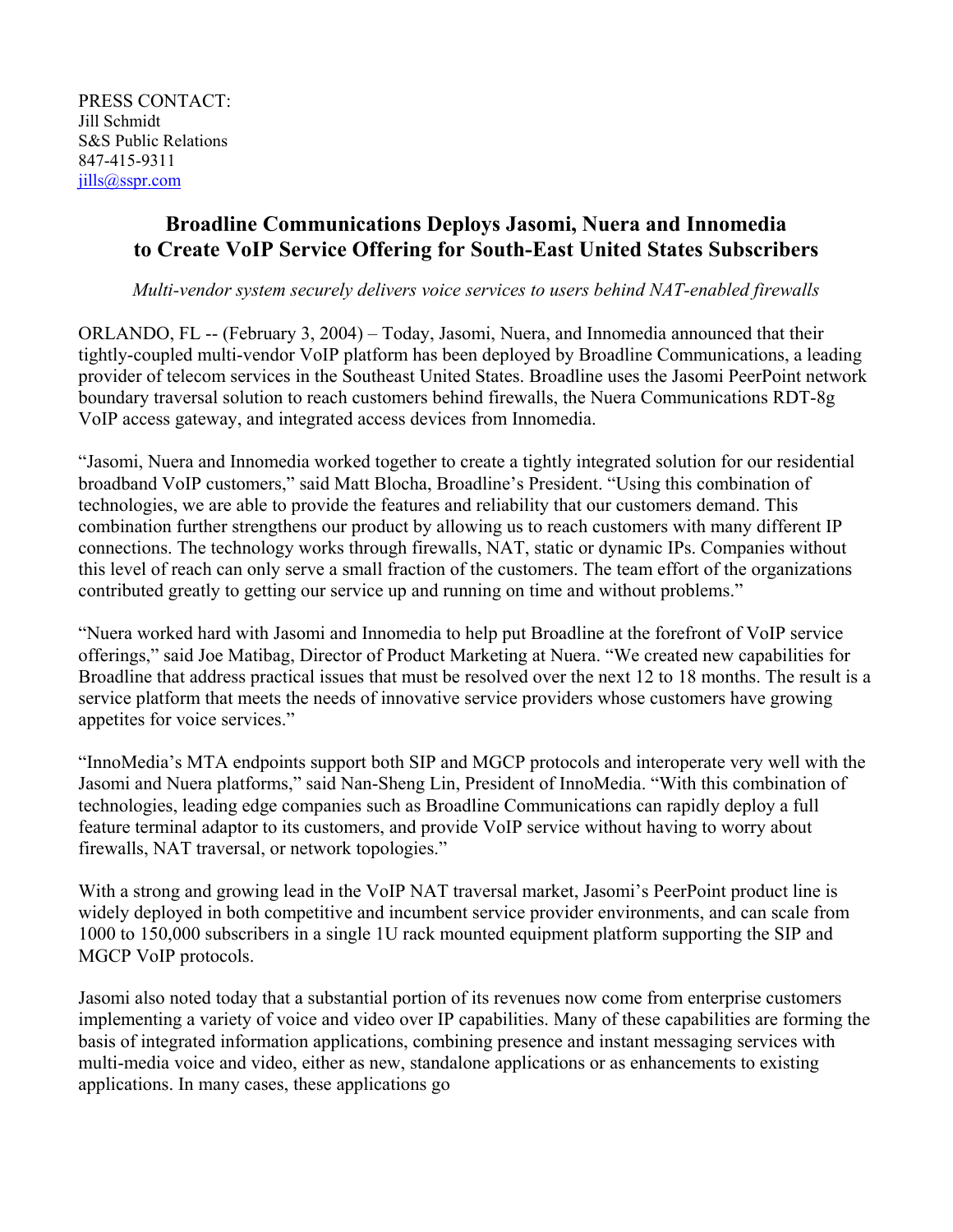PRESS CONTACT: Jill Schmidt S&S Public Relations 847-415-9311 [jills@sspr.com](mailto:jills@sspr.com)

# **Broadline Communications Deploys Jasomi, Nuera and Innomedia to Create VoIP Service Offering for South-East United States Subscribers**

*Multi-vendor system securely delivers voice services to users behind NAT-enabled firewalls* 

ORLANDO, FL -- (February 3, 2004) – Today, Jasomi, Nuera, and Innomedia announced that their tightly-coupled multi-vendor VoIP platform has been deployed by Broadline Communications, a leading provider of telecom services in the Southeast United States. Broadline uses the Jasomi PeerPoint network boundary traversal solution to reach customers behind firewalls, the Nuera Communications RDT-8g VoIP access gateway, and integrated access devices from Innomedia.

"Jasomi, Nuera and Innomedia worked together to create a tightly integrated solution for our residential broadband VoIP customers," said Matt Blocha, Broadline's President. "Using this combination of technologies, we are able to provide the features and reliability that our customers demand. This combination further strengthens our product by allowing us to reach customers with many different IP connections. The technology works through firewalls, NAT, static or dynamic IPs. Companies without this level of reach can only serve a small fraction of the customers. The team effort of the organizations contributed greatly to getting our service up and running on time and without problems."

"Nuera worked hard with Jasomi and Innomedia to help put Broadline at the forefront of VoIP service offerings," said Joe Matibag, Director of Product Marketing at Nuera. "We created new capabilities for Broadline that address practical issues that must be resolved over the next 12 to 18 months. The result is a service platform that meets the needs of innovative service providers whose customers have growing appetites for voice services."

"InnoMedia's MTA endpoints support both SIP and MGCP protocols and interoperate very well with the Jasomi and Nuera platforms," said Nan-Sheng Lin, President of InnoMedia. "With this combination of technologies, leading edge companies such as Broadline Communications can rapidly deploy a full feature terminal adaptor to its customers, and provide VoIP service without having to worry about firewalls, NAT traversal, or network topologies."

With a strong and growing lead in the VoIP NAT traversal market, Jasomi's PeerPoint product line is widely deployed in both competitive and incumbent service provider environments, and can scale from 1000 to 150,000 subscribers in a single 1U rack mounted equipment platform supporting the SIP and MGCP VoIP protocols.

Jasomi also noted today that a substantial portion of its revenues now come from enterprise customers implementing a variety of voice and video over IP capabilities. Many of these capabilities are forming the basis of integrated information applications, combining presence and instant messaging services with multi-media voice and video, either as new, standalone applications or as enhancements to existing applications. In many cases, these applications go